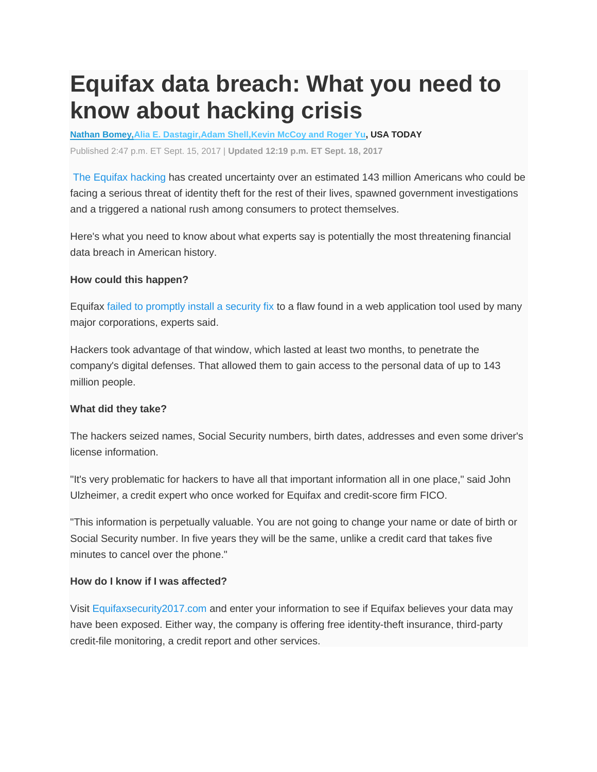# **Equifax data breach: What you need to know about hacking crisis**

**[Nathan Bomey,Alia E. Dastagir,](http://www.usatoday.com/staff/40767/nathan-bomey/)[Adam Shell,Kevin McCoy and](http://www.usatoday.com/staff/611/adam-shell/) [Roger Yu,](http://www.usatoday.com/staff/1144/roger-yu/) USA TODAY** Published 2:47 p.m. ET Sept. 15, 2017 | **Updated 12:19 p.m. ET Sept. 18, 2017**

[The Equifax hacking](https://www.usatoday.com/story/money/2017/09/14/equifax-identity-theft-hackers-apache-struts/665100001/) has created uncertainty over an estimated 143 million Americans who could be facing a serious threat of identity theft for the rest of their lives, spawned government investigations and a triggered a national rush among consumers to protect themselves.

Here's what you need to know about what experts say is potentially the most threatening financial data breach in American history.

# **How could this happen?**

Equifax [failed to promptly install a security fix](https://www.usatoday.com/story/money/2017/09/14/equifax-identity-theft-hackers-apache-struts/665100001/) to a flaw found in a web application tool used by many major corporations, experts said.

Hackers took advantage of that window, which lasted at least two months, to penetrate the company's digital defenses. That allowed them to gain access to the personal data of up to 143 million people.

#### **What did they take?**

The hackers seized names, Social Security numbers, birth dates, addresses and even some driver's license information.

"It's very problematic for hackers to have all that important information all in one place," said John Ulzheimer, a credit expert who once worked for Equifax and credit-score firm FICO.

"This information is perpetually valuable. You are not going to change your name or date of birth or Social Security number. In five years they will be the same, unlike a credit card that takes five minutes to cancel over the phone."

#### **How do I know if I was affected?**

Visit [Equifaxsecurity2017.com](https://www.equifaxsecurity2017.com/) and enter your information to see if Equifax believes your data may have been exposed. Either way, the company is offering free identity-theft insurance, third-party credit-file monitoring, a credit report and other services.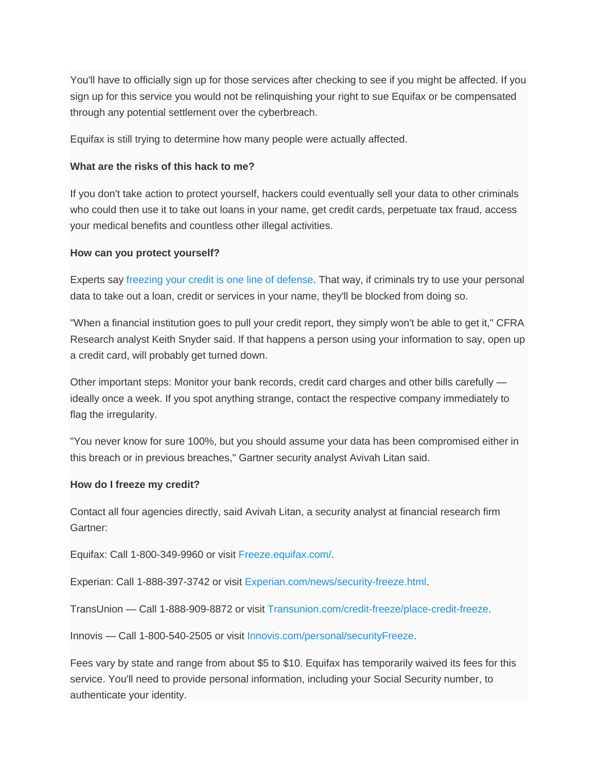You'll have to officially sign up for those services after checking to see if you might be affected. If you sign up for this service you would not be relinquishing your right to sue Equifax or be compensated through any potential settlement over the cyberbreach.

Equifax is still trying to determine how many people were actually affected.

## **What are the risks of this hack to me?**

If you don't take action to protect yourself, hackers could eventually sell your data to other criminals who could then use it to take out loans in your name, get credit cards, perpetuate tax fraud, access your medical benefits and countless other illegal activities.

# **How can you protect yourself?**

Experts say [freezing your credit is one line of defense.](https://www.usatoday.com/story/money/2017/09/13/how-freeze-your-credit-protect-your-identity/657304001/) That way, if criminals try to use your personal data to take out a loan, credit or services in your name, they'll be blocked from doing so.

"When a financial institution goes to pull your credit report, they simply won't be able to get it," CFRA Research analyst Keith Snyder said. If that happens a person using your information to say, open up a credit card, will probably get turned down.

Other important steps: Monitor your bank records, credit card charges and other bills carefully ideally once a week. If you spot anything strange, contact the respective company immediately to flag the irregularity.

"You never know for sure 100%, but you should assume your data has been compromised either in this breach or in previous breaches," Gartner security analyst Avivah Litan said.

#### **How do I freeze my credit?**

Contact all four agencies directly, said Avivah Litan, a security analyst at financial research firm Gartner:

Equifax: Call 1-800-349-9960 or visit [Freeze.equifax.com/.](https://www.freeze.equifax.com/)

Experian: Call 1-888-397-3742 or visit Experian.com/news/security-freeze.html.

TransUnion — Call 1-888-909-8872 or visit [Transunion.com/credit-freeze/place-credit-freeze.](https://www.transunion.com/credit-freeze/place-credit-freeze)

Innovis — Call 1-800-540-2505 or visit [Innovis.com/personal/securityFreeze.](https://www.innovis.com/personal/securityFreeze)

Fees vary by state and range from about \$5 to \$10. Equifax has temporarily waived its fees for this service. You'll need to provide personal information, including your Social Security number, to authenticate your identity.